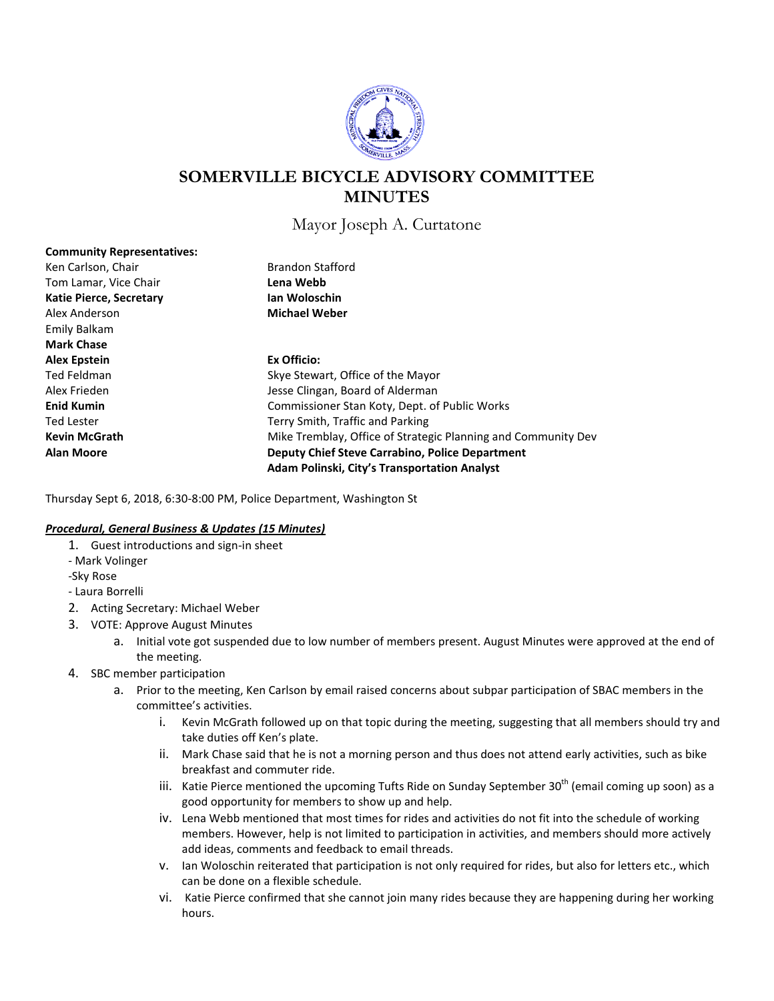

# **SOMERVILLE BICYCLE ADVISORY COMMITTEE MINUTES**

Mayor Joseph A. Curtatone

| <b>Community Representatives:</b> |                                                               |
|-----------------------------------|---------------------------------------------------------------|
| Ken Carlson, Chair                | <b>Brandon Stafford</b>                                       |
| Tom Lamar, Vice Chair             | Lena Webb                                                     |
| <b>Katie Pierce, Secretary</b>    | Ian Woloschin                                                 |
| Alex Anderson                     | <b>Michael Weber</b>                                          |
| Emily Balkam                      |                                                               |
| <b>Mark Chase</b>                 |                                                               |
| <b>Alex Epstein</b>               | Ex Officio:                                                   |
| Ted Feldman                       | Skye Stewart, Office of the Mayor                             |
| Alex Frieden                      | Jesse Clingan, Board of Alderman                              |
| <b>Enid Kumin</b>                 | Commissioner Stan Koty, Dept. of Public Works                 |
| Ted Lester                        | Terry Smith, Traffic and Parking                              |
| <b>Kevin McGrath</b>              | Mike Tremblay, Office of Strategic Planning and Community Dev |
| <b>Alan Moore</b>                 | <b>Deputy Chief Steve Carrabino, Police Department</b>        |
|                                   | Adam Polinski, City's Transportation Analyst                  |
|                                   |                                                               |

Thursday Sept 6, 2018, 6:30-8:00 PM, Police Department, Washington St

#### *Procedural, General Business & Updates (15 Minutes)*

- 1. Guest introductions and sign-in sheet
- Mark Volinger
- -Sky Rose

- Laura Borrelli

- 2. Acting Secretary: Michael Weber
- 3. VOTE: Approve August Minutes
	- a. Initial vote got suspended due to low number of members present. August Minutes were approved at the end of the meeting.
- 4. SBC member participation
	- a. Prior to the meeting, Ken Carlson by email raised concerns about subpar participation of SBAC members in the committee's activities.
		- i. Kevin McGrath followed up on that topic during the meeting, suggesting that all members should try and take duties off Ken's plate.
		- ii. Mark Chase said that he is not a morning person and thus does not attend early activities, such as bike breakfast and commuter ride.
		- iii. Katie Pierce mentioned the upcoming Tufts Ride on Sunday September 30<sup>th</sup> (email coming up soon) as a good opportunity for members to show up and help.
		- iv. Lena Webb mentioned that most times for rides and activities do not fit into the schedule of working members. However, help is not limited to participation in activities, and members should more actively add ideas, comments and feedback to email threads.
		- v. Ian Woloschin reiterated that participation is not only required for rides, but also for letters etc., which can be done on a flexible schedule.
		- vi. Katie Pierce confirmed that she cannot join many rides because they are happening during her working hours.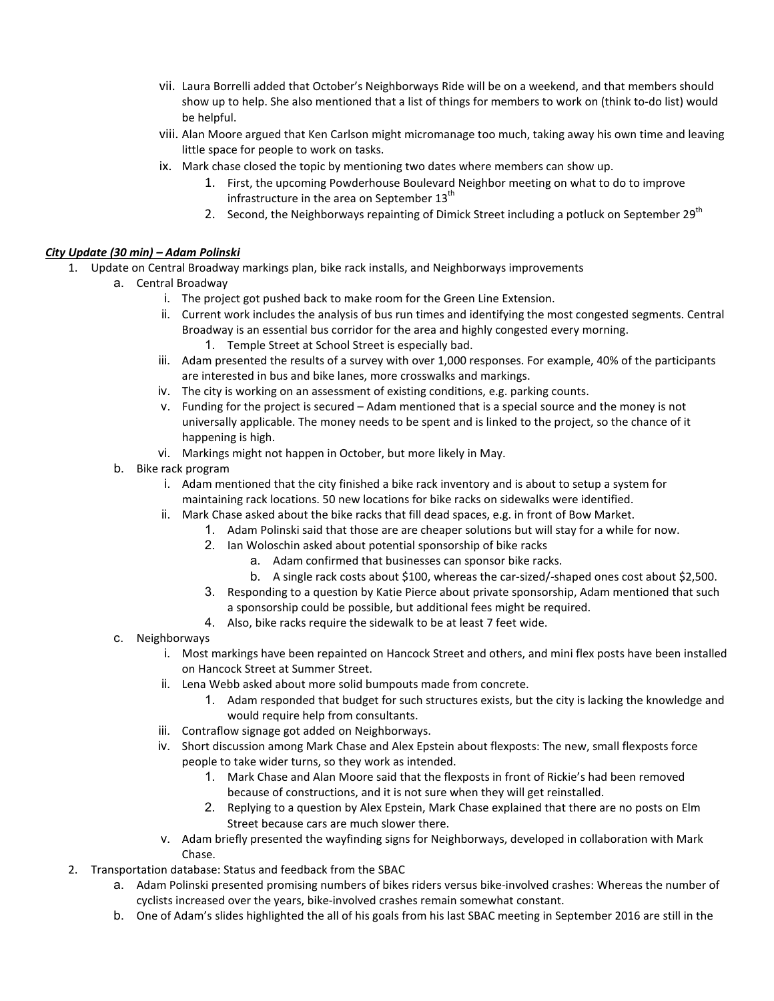- vii. Laura Borrelli added that October's Neighborways Ride will be on a weekend, and that members should show up to help. She also mentioned that a list of things for members to work on (think to-do list) would be helpful.
- viii. Alan Moore argued that Ken Carlson might micromanage too much, taking away his own time and leaving little space for people to work on tasks.
- ix. Mark chase closed the topic by mentioning two dates where members can show up.
	- 1. First, the upcoming Powderhouse Boulevard Neighbor meeting on what to do to improve infrastructure in the area on September  $13<sup>th</sup>$
	- 2. Second, the Neighborways repainting of Dimick Street including a potluck on September 29<sup>th</sup>

### *City Update (30 min) – Adam Polinski*

- 1. Update on Central Broadway markings plan, bike rack installs, and Neighborways improvements
	- a. Central Broadway
		- i. The project got pushed back to make room for the Green Line Extension.
		- ii. Current work includes the analysis of bus run times and identifying the most congested segments. Central Broadway is an essential bus corridor for the area and highly congested every morning.
			- 1. Temple Street at School Street is especially bad.
		- iii. Adam presented the results of a survey with over 1,000 responses. For example, 40% of the participants are interested in bus and bike lanes, more crosswalks and markings.
		- iv. The city is working on an assessment of existing conditions, e.g. parking counts.
		- v. Funding for the project is secured Adam mentioned that is a special source and the money is not universally applicable. The money needs to be spent and is linked to the project, so the chance of it happening is high.
		- vi. Markings might not happen in October, but more likely in May.
		- b. Bike rack program
			- i. Adam mentioned that the city finished a bike rack inventory and is about to setup a system for maintaining rack locations. 50 new locations for bike racks on sidewalks were identified.
			- ii. Mark Chase asked about the bike racks that fill dead spaces, e.g. in front of Bow Market.
				- 1. Adam Polinski said that those are are cheaper solutions but will stay for a while for now.
				- 2. Ian Woloschin asked about potential sponsorship of bike racks
					- a. Adam confirmed that businesses can sponsor bike racks.
					- b. A single rack costs about \$100, whereas the car-sized/-shaped ones cost about \$2,500.
				- 3. Responding to a question by Katie Pierce about private sponsorship, Adam mentioned that such a sponsorship could be possible, but additional fees might be required.
				- 4. Also, bike racks require the sidewalk to be at least 7 feet wide.
		- c. Neighborways
			- i. Most markings have been repainted on Hancock Street and others, and mini flex posts have been installed on Hancock Street at Summer Street.
			- ii. Lena Webb asked about more solid bumpouts made from concrete.
				- 1. Adam responded that budget for such structures exists, but the city is lacking the knowledge and would require help from consultants.
			- iii. Contraflow signage got added on Neighborways.
			- iv. Short discussion among Mark Chase and Alex Epstein about flexposts: The new, small flexposts force people to take wider turns, so they work as intended.
				- 1. Mark Chase and Alan Moore said that the flexposts in front of Rickie's had been removed because of constructions, and it is not sure when they will get reinstalled.
				- 2. Replying to a question by Alex Epstein, Mark Chase explained that there are no posts on Elm Street because cars are much slower there.
			- v. Adam briefly presented the wayfinding signs for Neighborways, developed in collaboration with Mark Chase.
- 2. Transportation database: Status and feedback from the SBAC
	- a. Adam Polinski presented promising numbers of bikes riders versus bike-involved crashes: Whereas the number of cyclists increased over the years, bike-involved crashes remain somewhat constant.
	- b. One of Adam's slides highlighted the all of his goals from his last SBAC meeting in September 2016 are still in the